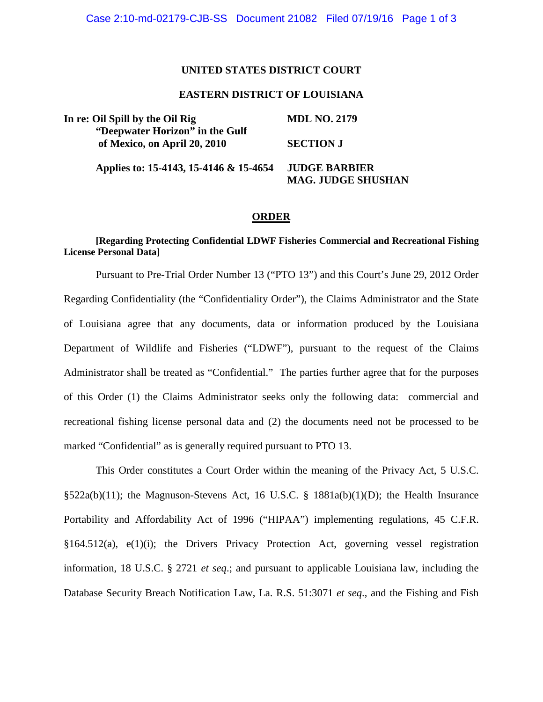# **UNITED STATES DISTRICT COURT**

# **EASTERN DISTRICT OF LOUISIANA**

| In re: Oil Spill by the Oil Rig<br>"Deepwater Horizon" in the Gulf<br>of Mexico, on April 20, 2010 | <b>MDL NO. 2179</b>                    |
|----------------------------------------------------------------------------------------------------|----------------------------------------|
|                                                                                                    |                                        |
|                                                                                                    | Applies to: 15-4143, 15-4146 & 15-4654 |
| <b>MAG. JUDGE SHUSHAN</b>                                                                          |                                        |

#### **ORDER**

# **[Regarding Protecting Confidential LDWF Fisheries Commercial and Recreational Fishing License Personal Data]**

Pursuant to Pre-Trial Order Number 13 ("PTO 13") and this Court's June 29, 2012 Order Regarding Confidentiality (the "Confidentiality Order"), the Claims Administrator and the State of Louisiana agree that any documents, data or information produced by the Louisiana Department of Wildlife and Fisheries ("LDWF"), pursuant to the request of the Claims Administrator shall be treated as "Confidential." The parties further agree that for the purposes of this Order (1) the Claims Administrator seeks only the following data: commercial and recreational fishing license personal data and (2) the documents need not be processed to be marked "Confidential" as is generally required pursuant to PTO 13.

This Order constitutes a Court Order within the meaning of the Privacy Act, 5 U.S.C.  $\S522a(b)(11)$ ; the Magnuson-Stevens Act, 16 U.S.C. § 1881a(b)(1)(D); the Health Insurance Portability and Affordability Act of 1996 ("HIPAA") implementing regulations, 45 C.F.R. §164.512(a), e(1)(i); the Drivers Privacy Protection Act, governing vessel registration information, 18 U.S.C. § 2721 *et seq*.; and pursuant to applicable Louisiana law, including the Database Security Breach Notification Law, La. R.S. 51:3071 *et seq*., and the Fishing and Fish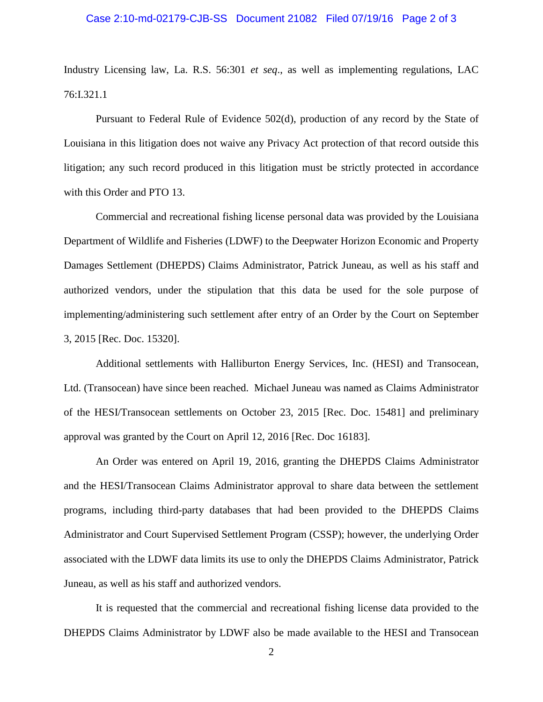# Case 2:10-md-02179-CJB-SS Document 21082 Filed 07/19/16 Page 2 of 3

Industry Licensing law, La. R.S. 56:301 *et seq*., as well as implementing regulations, LAC 76:I.321.1

Pursuant to Federal Rule of Evidence 502(d), production of any record by the State of Louisiana in this litigation does not waive any Privacy Act protection of that record outside this litigation; any such record produced in this litigation must be strictly protected in accordance with this Order and PTO 13.

Commercial and recreational fishing license personal data was provided by the Louisiana Department of Wildlife and Fisheries (LDWF) to the Deepwater Horizon Economic and Property Damages Settlement (DHEPDS) Claims Administrator, Patrick Juneau, as well as his staff and authorized vendors, under the stipulation that this data be used for the sole purpose of implementing/administering such settlement after entry of an Order by the Court on September 3, 2015 [Rec. Doc. 15320].

Additional settlements with Halliburton Energy Services, Inc. (HESI) and Transocean, Ltd. (Transocean) have since been reached. Michael Juneau was named as Claims Administrator of the HESI/Transocean settlements on October 23, 2015 [Rec. Doc. 15481] and preliminary approval was granted by the Court on April 12, 2016 [Rec. Doc 16183].

An Order was entered on April 19, 2016, granting the DHEPDS Claims Administrator and the HESI/Transocean Claims Administrator approval to share data between the settlement programs, including third-party databases that had been provided to the DHEPDS Claims Administrator and Court Supervised Settlement Program (CSSP); however, the underlying Order associated with the LDWF data limits its use to only the DHEPDS Claims Administrator, Patrick Juneau, as well as his staff and authorized vendors.

It is requested that the commercial and recreational fishing license data provided to the DHEPDS Claims Administrator by LDWF also be made available to the HESI and Transocean